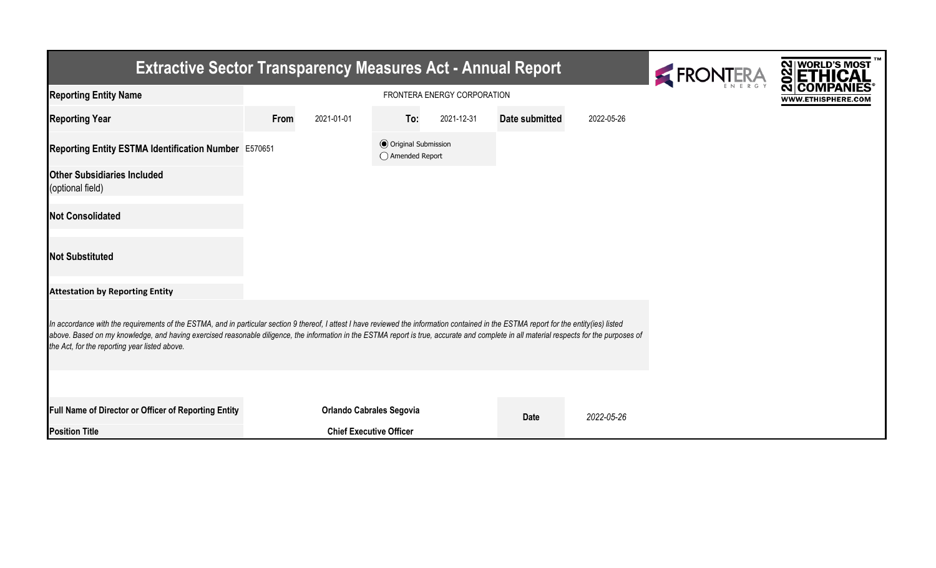| <b>Extractive Sector Transparency Measures Act - Annual Report</b>                                                                                                                                                                                                                                                                                                                                                                    | FRONTERA                    | <b>NIWORLD'S MOST</b><br>ၛၙ    |                                                  |            |                |            |  |                    |  |  |  |
|---------------------------------------------------------------------------------------------------------------------------------------------------------------------------------------------------------------------------------------------------------------------------------------------------------------------------------------------------------------------------------------------------------------------------------------|-----------------------------|--------------------------------|--------------------------------------------------|------------|----------------|------------|--|--------------------|--|--|--|
| <b>Reporting Entity Name</b>                                                                                                                                                                                                                                                                                                                                                                                                          | FRONTERA ENERGY CORPORATION |                                |                                                  |            |                |            |  | WWW.ETHISPHERE.COM |  |  |  |
| <b>Reporting Year</b>                                                                                                                                                                                                                                                                                                                                                                                                                 | From                        | 2021-01-01                     | To:                                              | 2021-12-31 | Date submitted | 2022-05-26 |  |                    |  |  |  |
| Reporting Entity ESTMA Identification Number E570651                                                                                                                                                                                                                                                                                                                                                                                  |                             |                                | <b>◎</b> Original Submission<br>◯ Amended Report |            |                |            |  |                    |  |  |  |
| <b>Other Subsidiaries Included</b><br>(optional field)                                                                                                                                                                                                                                                                                                                                                                                |                             |                                |                                                  |            |                |            |  |                    |  |  |  |
| <b>Not Consolidated</b>                                                                                                                                                                                                                                                                                                                                                                                                               |                             |                                |                                                  |            |                |            |  |                    |  |  |  |
| <b>Not Substituted</b>                                                                                                                                                                                                                                                                                                                                                                                                                |                             |                                |                                                  |            |                |            |  |                    |  |  |  |
| <b>Attestation by Reporting Entity</b>                                                                                                                                                                                                                                                                                                                                                                                                |                             |                                |                                                  |            |                |            |  |                    |  |  |  |
| In accordance with the requirements of the ESTMA, and in particular section 9 thereof, I attest I have reviewed the information contained in the ESTMA report for the entity(ies) listed<br>above. Based on my knowledge, and having exercised reasonable diligence, the information in the ESTMA report is true, accurate and complete in all material respects for the purposes of<br>the Act, for the reporting year listed above. |                             |                                |                                                  |            |                |            |  |                    |  |  |  |
|                                                                                                                                                                                                                                                                                                                                                                                                                                       |                             |                                |                                                  |            |                |            |  |                    |  |  |  |
| Full Name of Director or Officer of Reporting Entity                                                                                                                                                                                                                                                                                                                                                                                  |                             |                                | <b>Orlando Cabrales Segovia</b>                  |            | <b>Date</b>    | 2022-05-26 |  |                    |  |  |  |
| <b>Position Title</b>                                                                                                                                                                                                                                                                                                                                                                                                                 |                             | <b>Chief Executive Officer</b> |                                                  |            |                |            |  |                    |  |  |  |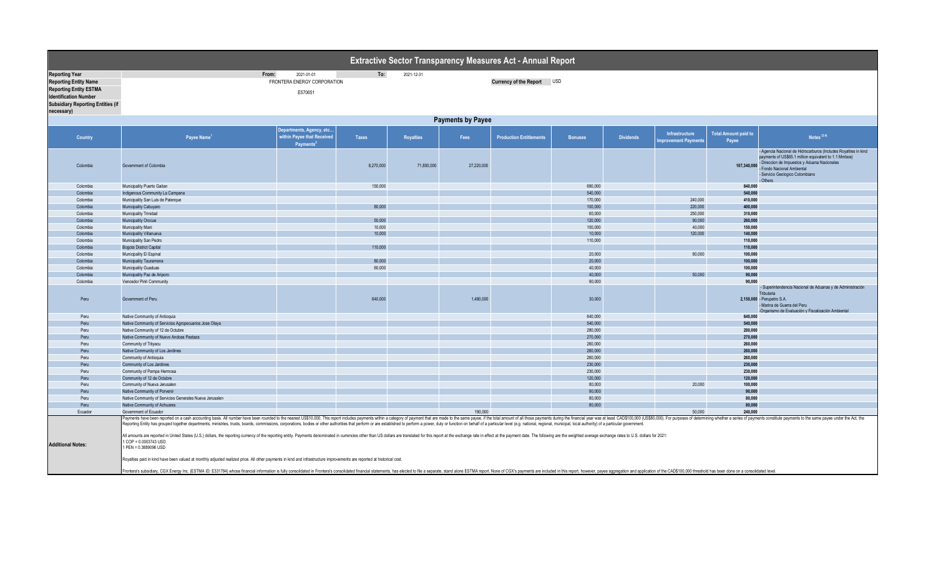| To:<br><b>Reporting Year</b><br>From:<br>2021-01-01<br>2021-12-31<br>FRONTERA ENERGY CORPORATION<br>Currency of the Report USD<br><b>Reporting Entity Name</b><br><b>Reporting Entity ESTMA</b><br>E570651<br><b>Identification Number</b><br><b>Subsidiary Reporting Entities (if</b><br>necessary)<br><b>Payments by Payee</b><br>Departments, Agency, etc<br><b>Total Amount paid to</b><br>Infrastructure<br>Notes $(3,4)$<br>within Payee that Received<br>Country<br>Payee Name <sup>1</sup><br><b>Taxes</b><br>Fees<br><b>Production Entitlements</b><br><b>Bonuses</b><br><b>Dividends</b><br><b>Royalties</b><br>mprovement Payments<br>Payee<br>Payments<br>payments of US\$65.1 million equivalent to 1.1 Mmboe)<br>- Direccion de Impuestos y Aduana Nacionales<br>8,270,000<br>71,850,000<br>27,220,000<br>107.340.000<br>Colombia<br>Government of Colombia<br>Fondo Nacional Ambiental<br>- Servicio Geologico Colombiano<br>- Others<br>150,000<br>690,000<br>840.000<br>Colombia<br>Municipality Puerto Gaitan<br>540,000<br>Colombia<br>Indigenous Community La Campana<br>540,000<br>240,000<br>170,000<br>Colombia<br>Municipality San Luis de Palenque<br>410,000<br>80,000<br>100,000<br>220,000<br>400.000<br>Colombia<br>Municipality Cabuyaro<br>Colombia<br>60,000<br>250,000<br>310.000<br><b>Municipality Trinidad</b><br>50,000<br>120,000<br>90,000<br>260,000<br>Colombia<br>Municipality Orocue<br>10,000<br>100,000<br>40,000<br>150,000<br>Colombia<br>Municipality Mani<br>10,000<br>10,000<br>120,000<br>140.000<br>Colombia<br>Municipality Villanueva<br>Colombia<br>Municipality San Pedro<br>110,000<br>110,000<br>110,000<br>110.000<br>Colombia<br><b>Bogota District Capital</b><br>20,000<br>80,000<br>Colombia<br>Municipality El Espinal<br>100,000<br>80,000<br>100,000<br>Colombia<br>Municipality Tauramena<br>20,000<br>60,000<br>40,000<br>Colombia<br>100,000<br><b>Municipality Guaduas</b><br>Colombia<br>40,000<br>50,000<br>90,000<br>Municipality Paz de Ariporo<br>90,000<br>90,000<br>Colombia<br>Vencedor Piriri Community<br>Tributaria<br>640,000<br>30,000<br>Peru<br>Government of Peru<br>1,480,000<br>2,150,000 - Perupetro S.A.<br>- Marina de Guerra del Peru<br>-Organismo de Evaluación y Fiscalización Ambiental<br>640,000<br>640.000<br>Peru<br>Native Community of Antioquia<br>540,000<br>540,000<br>Peru<br>Native Community of Servicios Agropecuarios Jose Olaya<br>Peru<br>Native Community of 12 de Octubre<br>280,000<br>280.000<br>270,000<br>Peru<br>Native Community of Nuevo Andoas Pastaza<br>270,000<br>260,000<br>260,000<br>Peru<br>Community of Titiyacu<br>260,000<br>260.000<br>Peru<br>Native Community of Los Jardines<br>260,000<br>260.000<br>Peru<br>Community of Antioquia<br>230,000<br>Peru<br>Community of Los Jardines<br>230,000<br>Peru<br>230,000<br>230.000<br>Community of Pampa Hermosa<br>Community of 12 de Octubre<br>120,000<br>120.000<br>Peru<br>80,000<br>20,000<br>Peru<br>Community of Nueva Jerusalen<br>100,000<br>Peru<br>90,000<br>90,000<br>Native Community of Porvenir<br>Peru<br>80,000<br>80,000<br>Native Community of Servicios Generales Nueva Jerusalen<br>Native Community of Achuares<br>80,000<br>80.000<br>Peru<br>190,000<br>50,000<br>Ecuador<br>Government of Ecuador<br>240.000<br>Reporting Entity has grouped together departments, ministries, trusts, boards, commissions, corporations, bodies or other authorities that perform or are established to perform a power, duty or function on behalf of a part<br>All amounts are reported in United States (U.S.) dollars, the reporting currency of the reporting entity. Payments denominated in currencies other than US dollars are translated for this report at the exchange rate in effe<br>1 COP = 0.0003743 USD<br><b>Additional Notes:</b><br>1 PEN = 0.3889096 USD<br>Royalties paid in kind have been valued at monthly adjusted realized price. All other payments in kind and infrastructure improvements are reported at historical cost. | Extractive Sector Transparency Measures Act - Annual Report |                                                                                                                                                                                                                                 |  |  |  |  |  |  |  |  |  |                                                                 |  |
|--------------------------------------------------------------------------------------------------------------------------------------------------------------------------------------------------------------------------------------------------------------------------------------------------------------------------------------------------------------------------------------------------------------------------------------------------------------------------------------------------------------------------------------------------------------------------------------------------------------------------------------------------------------------------------------------------------------------------------------------------------------------------------------------------------------------------------------------------------------------------------------------------------------------------------------------------------------------------------------------------------------------------------------------------------------------------------------------------------------------------------------------------------------------------------------------------------------------------------------------------------------------------------------------------------------------------------------------------------------------------------------------------------------------------------------------------------------------------------------------------------------------------------------------------------------------------------------------------------------------------------------------------------------------------------------------------------------------------------------------------------------------------------------------------------------------------------------------------------------------------------------------------------------------------------------------------------------------------------------------------------------------------------------------------------------------------------------------------------------------------------------------------------------------------------------------------------------------------------------------------------------------------------------------------------------------------------------------------------------------------------------------------------------------------------------------------------------------------------------------------------------------------------------------------------------------------------------------------------------------------------------------------------------------------------------------------------------------------------------------------------------------------------------------------------------------------------------------------------------------------------------------------------------------------------------------------------------------------------------------------------------------------------------------------------------------------------------------------------------------------------------------------------------------------------------------------------------------------------------------------------------------------------------------------------------------------------------------------------------------------------------------------------------------------------------------------------------------------------------------------------------------------------------------------------------------------------------------------------------------------------------------------------------------------------------------------------------------------------------------------------------------------------------------------------------------------------------------------------------------------------------------------------------------------------------------------------------------------------------------------------------------------------------------------------|-------------------------------------------------------------|---------------------------------------------------------------------------------------------------------------------------------------------------------------------------------------------------------------------------------|--|--|--|--|--|--|--|--|--|-----------------------------------------------------------------|--|
|                                                                                                                                                                                                                                                                                                                                                                                                                                                                                                                                                                                                                                                                                                                                                                                                                                                                                                                                                                                                                                                                                                                                                                                                                                                                                                                                                                                                                                                                                                                                                                                                                                                                                                                                                                                                                                                                                                                                                                                                                                                                                                                                                                                                                                                                                                                                                                                                                                                                                                                                                                                                                                                                                                                                                                                                                                                                                                                                                                                                                                                                                                                                                                                                                                                                                                                                                                                                                                                                                                                                                                                                                                                                                                                                                                                                                                                                                                                                                                                                                                                        |                                                             |                                                                                                                                                                                                                                 |  |  |  |  |  |  |  |  |  |                                                                 |  |
|                                                                                                                                                                                                                                                                                                                                                                                                                                                                                                                                                                                                                                                                                                                                                                                                                                                                                                                                                                                                                                                                                                                                                                                                                                                                                                                                                                                                                                                                                                                                                                                                                                                                                                                                                                                                                                                                                                                                                                                                                                                                                                                                                                                                                                                                                                                                                                                                                                                                                                                                                                                                                                                                                                                                                                                                                                                                                                                                                                                                                                                                                                                                                                                                                                                                                                                                                                                                                                                                                                                                                                                                                                                                                                                                                                                                                                                                                                                                                                                                                                                        |                                                             |                                                                                                                                                                                                                                 |  |  |  |  |  |  |  |  |  |                                                                 |  |
|                                                                                                                                                                                                                                                                                                                                                                                                                                                                                                                                                                                                                                                                                                                                                                                                                                                                                                                                                                                                                                                                                                                                                                                                                                                                                                                                                                                                                                                                                                                                                                                                                                                                                                                                                                                                                                                                                                                                                                                                                                                                                                                                                                                                                                                                                                                                                                                                                                                                                                                                                                                                                                                                                                                                                                                                                                                                                                                                                                                                                                                                                                                                                                                                                                                                                                                                                                                                                                                                                                                                                                                                                                                                                                                                                                                                                                                                                                                                                                                                                                                        |                                                             |                                                                                                                                                                                                                                 |  |  |  |  |  |  |  |  |  |                                                                 |  |
|                                                                                                                                                                                                                                                                                                                                                                                                                                                                                                                                                                                                                                                                                                                                                                                                                                                                                                                                                                                                                                                                                                                                                                                                                                                                                                                                                                                                                                                                                                                                                                                                                                                                                                                                                                                                                                                                                                                                                                                                                                                                                                                                                                                                                                                                                                                                                                                                                                                                                                                                                                                                                                                                                                                                                                                                                                                                                                                                                                                                                                                                                                                                                                                                                                                                                                                                                                                                                                                                                                                                                                                                                                                                                                                                                                                                                                                                                                                                                                                                                                                        |                                                             |                                                                                                                                                                                                                                 |  |  |  |  |  |  |  |  |  | - Agencia Nacional de Hidrocarburos (Includes Royalties in kind |  |
|                                                                                                                                                                                                                                                                                                                                                                                                                                                                                                                                                                                                                                                                                                                                                                                                                                                                                                                                                                                                                                                                                                                                                                                                                                                                                                                                                                                                                                                                                                                                                                                                                                                                                                                                                                                                                                                                                                                                                                                                                                                                                                                                                                                                                                                                                                                                                                                                                                                                                                                                                                                                                                                                                                                                                                                                                                                                                                                                                                                                                                                                                                                                                                                                                                                                                                                                                                                                                                                                                                                                                                                                                                                                                                                                                                                                                                                                                                                                                                                                                                                        |                                                             |                                                                                                                                                                                                                                 |  |  |  |  |  |  |  |  |  |                                                                 |  |
|                                                                                                                                                                                                                                                                                                                                                                                                                                                                                                                                                                                                                                                                                                                                                                                                                                                                                                                                                                                                                                                                                                                                                                                                                                                                                                                                                                                                                                                                                                                                                                                                                                                                                                                                                                                                                                                                                                                                                                                                                                                                                                                                                                                                                                                                                                                                                                                                                                                                                                                                                                                                                                                                                                                                                                                                                                                                                                                                                                                                                                                                                                                                                                                                                                                                                                                                                                                                                                                                                                                                                                                                                                                                                                                                                                                                                                                                                                                                                                                                                                                        |                                                             |                                                                                                                                                                                                                                 |  |  |  |  |  |  |  |  |  |                                                                 |  |
|                                                                                                                                                                                                                                                                                                                                                                                                                                                                                                                                                                                                                                                                                                                                                                                                                                                                                                                                                                                                                                                                                                                                                                                                                                                                                                                                                                                                                                                                                                                                                                                                                                                                                                                                                                                                                                                                                                                                                                                                                                                                                                                                                                                                                                                                                                                                                                                                                                                                                                                                                                                                                                                                                                                                                                                                                                                                                                                                                                                                                                                                                                                                                                                                                                                                                                                                                                                                                                                                                                                                                                                                                                                                                                                                                                                                                                                                                                                                                                                                                                                        |                                                             |                                                                                                                                                                                                                                 |  |  |  |  |  |  |  |  |  |                                                                 |  |
|                                                                                                                                                                                                                                                                                                                                                                                                                                                                                                                                                                                                                                                                                                                                                                                                                                                                                                                                                                                                                                                                                                                                                                                                                                                                                                                                                                                                                                                                                                                                                                                                                                                                                                                                                                                                                                                                                                                                                                                                                                                                                                                                                                                                                                                                                                                                                                                                                                                                                                                                                                                                                                                                                                                                                                                                                                                                                                                                                                                                                                                                                                                                                                                                                                                                                                                                                                                                                                                                                                                                                                                                                                                                                                                                                                                                                                                                                                                                                                                                                                                        |                                                             |                                                                                                                                                                                                                                 |  |  |  |  |  |  |  |  |  |                                                                 |  |
|                                                                                                                                                                                                                                                                                                                                                                                                                                                                                                                                                                                                                                                                                                                                                                                                                                                                                                                                                                                                                                                                                                                                                                                                                                                                                                                                                                                                                                                                                                                                                                                                                                                                                                                                                                                                                                                                                                                                                                                                                                                                                                                                                                                                                                                                                                                                                                                                                                                                                                                                                                                                                                                                                                                                                                                                                                                                                                                                                                                                                                                                                                                                                                                                                                                                                                                                                                                                                                                                                                                                                                                                                                                                                                                                                                                                                                                                                                                                                                                                                                                        |                                                             |                                                                                                                                                                                                                                 |  |  |  |  |  |  |  |  |  |                                                                 |  |
|                                                                                                                                                                                                                                                                                                                                                                                                                                                                                                                                                                                                                                                                                                                                                                                                                                                                                                                                                                                                                                                                                                                                                                                                                                                                                                                                                                                                                                                                                                                                                                                                                                                                                                                                                                                                                                                                                                                                                                                                                                                                                                                                                                                                                                                                                                                                                                                                                                                                                                                                                                                                                                                                                                                                                                                                                                                                                                                                                                                                                                                                                                                                                                                                                                                                                                                                                                                                                                                                                                                                                                                                                                                                                                                                                                                                                                                                                                                                                                                                                                                        |                                                             |                                                                                                                                                                                                                                 |  |  |  |  |  |  |  |  |  |                                                                 |  |
|                                                                                                                                                                                                                                                                                                                                                                                                                                                                                                                                                                                                                                                                                                                                                                                                                                                                                                                                                                                                                                                                                                                                                                                                                                                                                                                                                                                                                                                                                                                                                                                                                                                                                                                                                                                                                                                                                                                                                                                                                                                                                                                                                                                                                                                                                                                                                                                                                                                                                                                                                                                                                                                                                                                                                                                                                                                                                                                                                                                                                                                                                                                                                                                                                                                                                                                                                                                                                                                                                                                                                                                                                                                                                                                                                                                                                                                                                                                                                                                                                                                        |                                                             |                                                                                                                                                                                                                                 |  |  |  |  |  |  |  |  |  |                                                                 |  |
|                                                                                                                                                                                                                                                                                                                                                                                                                                                                                                                                                                                                                                                                                                                                                                                                                                                                                                                                                                                                                                                                                                                                                                                                                                                                                                                                                                                                                                                                                                                                                                                                                                                                                                                                                                                                                                                                                                                                                                                                                                                                                                                                                                                                                                                                                                                                                                                                                                                                                                                                                                                                                                                                                                                                                                                                                                                                                                                                                                                                                                                                                                                                                                                                                                                                                                                                                                                                                                                                                                                                                                                                                                                                                                                                                                                                                                                                                                                                                                                                                                                        |                                                             |                                                                                                                                                                                                                                 |  |  |  |  |  |  |  |  |  |                                                                 |  |
|                                                                                                                                                                                                                                                                                                                                                                                                                                                                                                                                                                                                                                                                                                                                                                                                                                                                                                                                                                                                                                                                                                                                                                                                                                                                                                                                                                                                                                                                                                                                                                                                                                                                                                                                                                                                                                                                                                                                                                                                                                                                                                                                                                                                                                                                                                                                                                                                                                                                                                                                                                                                                                                                                                                                                                                                                                                                                                                                                                                                                                                                                                                                                                                                                                                                                                                                                                                                                                                                                                                                                                                                                                                                                                                                                                                                                                                                                                                                                                                                                                                        |                                                             |                                                                                                                                                                                                                                 |  |  |  |  |  |  |  |  |  |                                                                 |  |
|                                                                                                                                                                                                                                                                                                                                                                                                                                                                                                                                                                                                                                                                                                                                                                                                                                                                                                                                                                                                                                                                                                                                                                                                                                                                                                                                                                                                                                                                                                                                                                                                                                                                                                                                                                                                                                                                                                                                                                                                                                                                                                                                                                                                                                                                                                                                                                                                                                                                                                                                                                                                                                                                                                                                                                                                                                                                                                                                                                                                                                                                                                                                                                                                                                                                                                                                                                                                                                                                                                                                                                                                                                                                                                                                                                                                                                                                                                                                                                                                                                                        |                                                             |                                                                                                                                                                                                                                 |  |  |  |  |  |  |  |  |  |                                                                 |  |
|                                                                                                                                                                                                                                                                                                                                                                                                                                                                                                                                                                                                                                                                                                                                                                                                                                                                                                                                                                                                                                                                                                                                                                                                                                                                                                                                                                                                                                                                                                                                                                                                                                                                                                                                                                                                                                                                                                                                                                                                                                                                                                                                                                                                                                                                                                                                                                                                                                                                                                                                                                                                                                                                                                                                                                                                                                                                                                                                                                                                                                                                                                                                                                                                                                                                                                                                                                                                                                                                                                                                                                                                                                                                                                                                                                                                                                                                                                                                                                                                                                                        |                                                             |                                                                                                                                                                                                                                 |  |  |  |  |  |  |  |  |  |                                                                 |  |
|                                                                                                                                                                                                                                                                                                                                                                                                                                                                                                                                                                                                                                                                                                                                                                                                                                                                                                                                                                                                                                                                                                                                                                                                                                                                                                                                                                                                                                                                                                                                                                                                                                                                                                                                                                                                                                                                                                                                                                                                                                                                                                                                                                                                                                                                                                                                                                                                                                                                                                                                                                                                                                                                                                                                                                                                                                                                                                                                                                                                                                                                                                                                                                                                                                                                                                                                                                                                                                                                                                                                                                                                                                                                                                                                                                                                                                                                                                                                                                                                                                                        |                                                             |                                                                                                                                                                                                                                 |  |  |  |  |  |  |  |  |  |                                                                 |  |
|                                                                                                                                                                                                                                                                                                                                                                                                                                                                                                                                                                                                                                                                                                                                                                                                                                                                                                                                                                                                                                                                                                                                                                                                                                                                                                                                                                                                                                                                                                                                                                                                                                                                                                                                                                                                                                                                                                                                                                                                                                                                                                                                                                                                                                                                                                                                                                                                                                                                                                                                                                                                                                                                                                                                                                                                                                                                                                                                                                                                                                                                                                                                                                                                                                                                                                                                                                                                                                                                                                                                                                                                                                                                                                                                                                                                                                                                                                                                                                                                                                                        |                                                             |                                                                                                                                                                                                                                 |  |  |  |  |  |  |  |  |  |                                                                 |  |
|                                                                                                                                                                                                                                                                                                                                                                                                                                                                                                                                                                                                                                                                                                                                                                                                                                                                                                                                                                                                                                                                                                                                                                                                                                                                                                                                                                                                                                                                                                                                                                                                                                                                                                                                                                                                                                                                                                                                                                                                                                                                                                                                                                                                                                                                                                                                                                                                                                                                                                                                                                                                                                                                                                                                                                                                                                                                                                                                                                                                                                                                                                                                                                                                                                                                                                                                                                                                                                                                                                                                                                                                                                                                                                                                                                                                                                                                                                                                                                                                                                                        |                                                             |                                                                                                                                                                                                                                 |  |  |  |  |  |  |  |  |  |                                                                 |  |
|                                                                                                                                                                                                                                                                                                                                                                                                                                                                                                                                                                                                                                                                                                                                                                                                                                                                                                                                                                                                                                                                                                                                                                                                                                                                                                                                                                                                                                                                                                                                                                                                                                                                                                                                                                                                                                                                                                                                                                                                                                                                                                                                                                                                                                                                                                                                                                                                                                                                                                                                                                                                                                                                                                                                                                                                                                                                                                                                                                                                                                                                                                                                                                                                                                                                                                                                                                                                                                                                                                                                                                                                                                                                                                                                                                                                                                                                                                                                                                                                                                                        |                                                             |                                                                                                                                                                                                                                 |  |  |  |  |  |  |  |  |  | - Superintendencia Nacional de Aduanas y de Administración      |  |
|                                                                                                                                                                                                                                                                                                                                                                                                                                                                                                                                                                                                                                                                                                                                                                                                                                                                                                                                                                                                                                                                                                                                                                                                                                                                                                                                                                                                                                                                                                                                                                                                                                                                                                                                                                                                                                                                                                                                                                                                                                                                                                                                                                                                                                                                                                                                                                                                                                                                                                                                                                                                                                                                                                                                                                                                                                                                                                                                                                                                                                                                                                                                                                                                                                                                                                                                                                                                                                                                                                                                                                                                                                                                                                                                                                                                                                                                                                                                                                                                                                                        |                                                             |                                                                                                                                                                                                                                 |  |  |  |  |  |  |  |  |  |                                                                 |  |
|                                                                                                                                                                                                                                                                                                                                                                                                                                                                                                                                                                                                                                                                                                                                                                                                                                                                                                                                                                                                                                                                                                                                                                                                                                                                                                                                                                                                                                                                                                                                                                                                                                                                                                                                                                                                                                                                                                                                                                                                                                                                                                                                                                                                                                                                                                                                                                                                                                                                                                                                                                                                                                                                                                                                                                                                                                                                                                                                                                                                                                                                                                                                                                                                                                                                                                                                                                                                                                                                                                                                                                                                                                                                                                                                                                                                                                                                                                                                                                                                                                                        |                                                             |                                                                                                                                                                                                                                 |  |  |  |  |  |  |  |  |  |                                                                 |  |
|                                                                                                                                                                                                                                                                                                                                                                                                                                                                                                                                                                                                                                                                                                                                                                                                                                                                                                                                                                                                                                                                                                                                                                                                                                                                                                                                                                                                                                                                                                                                                                                                                                                                                                                                                                                                                                                                                                                                                                                                                                                                                                                                                                                                                                                                                                                                                                                                                                                                                                                                                                                                                                                                                                                                                                                                                                                                                                                                                                                                                                                                                                                                                                                                                                                                                                                                                                                                                                                                                                                                                                                                                                                                                                                                                                                                                                                                                                                                                                                                                                                        |                                                             |                                                                                                                                                                                                                                 |  |  |  |  |  |  |  |  |  |                                                                 |  |
|                                                                                                                                                                                                                                                                                                                                                                                                                                                                                                                                                                                                                                                                                                                                                                                                                                                                                                                                                                                                                                                                                                                                                                                                                                                                                                                                                                                                                                                                                                                                                                                                                                                                                                                                                                                                                                                                                                                                                                                                                                                                                                                                                                                                                                                                                                                                                                                                                                                                                                                                                                                                                                                                                                                                                                                                                                                                                                                                                                                                                                                                                                                                                                                                                                                                                                                                                                                                                                                                                                                                                                                                                                                                                                                                                                                                                                                                                                                                                                                                                                                        |                                                             |                                                                                                                                                                                                                                 |  |  |  |  |  |  |  |  |  |                                                                 |  |
|                                                                                                                                                                                                                                                                                                                                                                                                                                                                                                                                                                                                                                                                                                                                                                                                                                                                                                                                                                                                                                                                                                                                                                                                                                                                                                                                                                                                                                                                                                                                                                                                                                                                                                                                                                                                                                                                                                                                                                                                                                                                                                                                                                                                                                                                                                                                                                                                                                                                                                                                                                                                                                                                                                                                                                                                                                                                                                                                                                                                                                                                                                                                                                                                                                                                                                                                                                                                                                                                                                                                                                                                                                                                                                                                                                                                                                                                                                                                                                                                                                                        |                                                             |                                                                                                                                                                                                                                 |  |  |  |  |  |  |  |  |  |                                                                 |  |
|                                                                                                                                                                                                                                                                                                                                                                                                                                                                                                                                                                                                                                                                                                                                                                                                                                                                                                                                                                                                                                                                                                                                                                                                                                                                                                                                                                                                                                                                                                                                                                                                                                                                                                                                                                                                                                                                                                                                                                                                                                                                                                                                                                                                                                                                                                                                                                                                                                                                                                                                                                                                                                                                                                                                                                                                                                                                                                                                                                                                                                                                                                                                                                                                                                                                                                                                                                                                                                                                                                                                                                                                                                                                                                                                                                                                                                                                                                                                                                                                                                                        |                                                             |                                                                                                                                                                                                                                 |  |  |  |  |  |  |  |  |  |                                                                 |  |
|                                                                                                                                                                                                                                                                                                                                                                                                                                                                                                                                                                                                                                                                                                                                                                                                                                                                                                                                                                                                                                                                                                                                                                                                                                                                                                                                                                                                                                                                                                                                                                                                                                                                                                                                                                                                                                                                                                                                                                                                                                                                                                                                                                                                                                                                                                                                                                                                                                                                                                                                                                                                                                                                                                                                                                                                                                                                                                                                                                                                                                                                                                                                                                                                                                                                                                                                                                                                                                                                                                                                                                                                                                                                                                                                                                                                                                                                                                                                                                                                                                                        |                                                             |                                                                                                                                                                                                                                 |  |  |  |  |  |  |  |  |  |                                                                 |  |
|                                                                                                                                                                                                                                                                                                                                                                                                                                                                                                                                                                                                                                                                                                                                                                                                                                                                                                                                                                                                                                                                                                                                                                                                                                                                                                                                                                                                                                                                                                                                                                                                                                                                                                                                                                                                                                                                                                                                                                                                                                                                                                                                                                                                                                                                                                                                                                                                                                                                                                                                                                                                                                                                                                                                                                                                                                                                                                                                                                                                                                                                                                                                                                                                                                                                                                                                                                                                                                                                                                                                                                                                                                                                                                                                                                                                                                                                                                                                                                                                                                                        |                                                             |                                                                                                                                                                                                                                 |  |  |  |  |  |  |  |  |  |                                                                 |  |
|                                                                                                                                                                                                                                                                                                                                                                                                                                                                                                                                                                                                                                                                                                                                                                                                                                                                                                                                                                                                                                                                                                                                                                                                                                                                                                                                                                                                                                                                                                                                                                                                                                                                                                                                                                                                                                                                                                                                                                                                                                                                                                                                                                                                                                                                                                                                                                                                                                                                                                                                                                                                                                                                                                                                                                                                                                                                                                                                                                                                                                                                                                                                                                                                                                                                                                                                                                                                                                                                                                                                                                                                                                                                                                                                                                                                                                                                                                                                                                                                                                                        |                                                             |                                                                                                                                                                                                                                 |  |  |  |  |  |  |  |  |  |                                                                 |  |
|                                                                                                                                                                                                                                                                                                                                                                                                                                                                                                                                                                                                                                                                                                                                                                                                                                                                                                                                                                                                                                                                                                                                                                                                                                                                                                                                                                                                                                                                                                                                                                                                                                                                                                                                                                                                                                                                                                                                                                                                                                                                                                                                                                                                                                                                                                                                                                                                                                                                                                                                                                                                                                                                                                                                                                                                                                                                                                                                                                                                                                                                                                                                                                                                                                                                                                                                                                                                                                                                                                                                                                                                                                                                                                                                                                                                                                                                                                                                                                                                                                                        |                                                             |                                                                                                                                                                                                                                 |  |  |  |  |  |  |  |  |  |                                                                 |  |
|                                                                                                                                                                                                                                                                                                                                                                                                                                                                                                                                                                                                                                                                                                                                                                                                                                                                                                                                                                                                                                                                                                                                                                                                                                                                                                                                                                                                                                                                                                                                                                                                                                                                                                                                                                                                                                                                                                                                                                                                                                                                                                                                                                                                                                                                                                                                                                                                                                                                                                                                                                                                                                                                                                                                                                                                                                                                                                                                                                                                                                                                                                                                                                                                                                                                                                                                                                                                                                                                                                                                                                                                                                                                                                                                                                                                                                                                                                                                                                                                                                                        |                                                             |                                                                                                                                                                                                                                 |  |  |  |  |  |  |  |  |  |                                                                 |  |
|                                                                                                                                                                                                                                                                                                                                                                                                                                                                                                                                                                                                                                                                                                                                                                                                                                                                                                                                                                                                                                                                                                                                                                                                                                                                                                                                                                                                                                                                                                                                                                                                                                                                                                                                                                                                                                                                                                                                                                                                                                                                                                                                                                                                                                                                                                                                                                                                                                                                                                                                                                                                                                                                                                                                                                                                                                                                                                                                                                                                                                                                                                                                                                                                                                                                                                                                                                                                                                                                                                                                                                                                                                                                                                                                                                                                                                                                                                                                                                                                                                                        |                                                             |                                                                                                                                                                                                                                 |  |  |  |  |  |  |  |  |  |                                                                 |  |
|                                                                                                                                                                                                                                                                                                                                                                                                                                                                                                                                                                                                                                                                                                                                                                                                                                                                                                                                                                                                                                                                                                                                                                                                                                                                                                                                                                                                                                                                                                                                                                                                                                                                                                                                                                                                                                                                                                                                                                                                                                                                                                                                                                                                                                                                                                                                                                                                                                                                                                                                                                                                                                                                                                                                                                                                                                                                                                                                                                                                                                                                                                                                                                                                                                                                                                                                                                                                                                                                                                                                                                                                                                                                                                                                                                                                                                                                                                                                                                                                                                                        |                                                             |                                                                                                                                                                                                                                 |  |  |  |  |  |  |  |  |  |                                                                 |  |
|                                                                                                                                                                                                                                                                                                                                                                                                                                                                                                                                                                                                                                                                                                                                                                                                                                                                                                                                                                                                                                                                                                                                                                                                                                                                                                                                                                                                                                                                                                                                                                                                                                                                                                                                                                                                                                                                                                                                                                                                                                                                                                                                                                                                                                                                                                                                                                                                                                                                                                                                                                                                                                                                                                                                                                                                                                                                                                                                                                                                                                                                                                                                                                                                                                                                                                                                                                                                                                                                                                                                                                                                                                                                                                                                                                                                                                                                                                                                                                                                                                                        |                                                             |                                                                                                                                                                                                                                 |  |  |  |  |  |  |  |  |  |                                                                 |  |
| Frontera's subsidiary, CGX Energy Inc. (ESTMA ID: E331794) whose financial information is fully consolidated in Frontera's consolidated inaccial statements, has elected to file a separate, stand alone ESTMA report. None of                                                                                                                                                                                                                                                                                                                                                                                                                                                                                                                                                                                                                                                                                                                                                                                                                                                                                                                                                                                                                                                                                                                                                                                                                                                                                                                                                                                                                                                                                                                                                                                                                                                                                                                                                                                                                                                                                                                                                                                                                                                                                                                                                                                                                                                                                                                                                                                                                                                                                                                                                                                                                                                                                                                                                                                                                                                                                                                                                                                                                                                                                                                                                                                                                                                                                                                                                                                                                                                                                                                                                                                                                                                                                                                                                                                                                         |                                                             | Payments have been reported on a cash accounting basis. All number have been rounded to the nearest US\$10,000. This report includes payments within a category of payment that are made to the same payes, if the total amount |  |  |  |  |  |  |  |  |  |                                                                 |  |